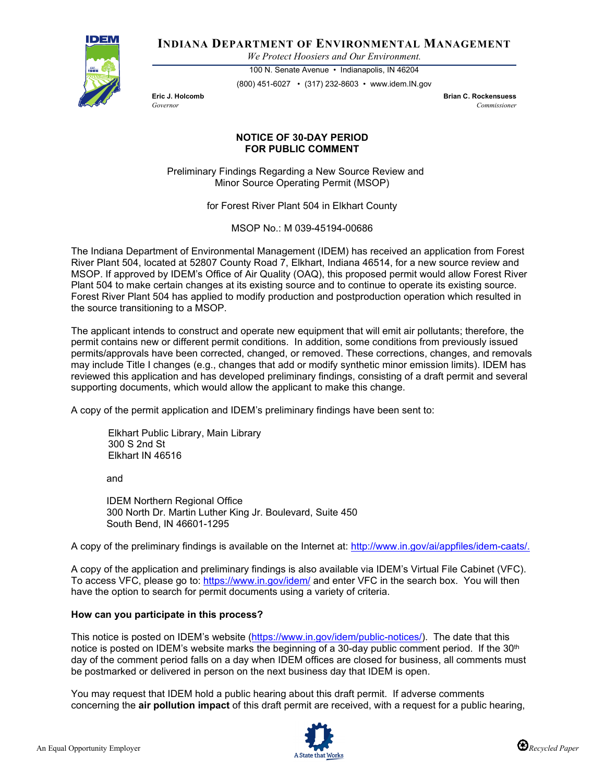

**INDIANA DEPARTMENT OF ENVIRONMENTAL MANAGEMENT**

*We Protect Hoosiers and Our Environment.*

100 N. Senate Avenue • Indianapolis, IN 46204 (800) 451-6027 • (317) 232-8603 • www.idem.IN.gov

**Eric J. Holcomb Brian C. Rockensuess** *Governor Commissioner* 

## **NOTICE OF 30-DAY PERIOD FOR PUBLIC COMMENT**

Preliminary Findings Regarding a New Source Review and Minor Source Operating Permit (MSOP)

for Forest River Plant 504 in Elkhart County

MSOP No.: M 039-45194-00686

The Indiana Department of Environmental Management (IDEM) has received an application from Forest River Plant 504, located at 52807 County Road 7, Elkhart, Indiana 46514, for a new source review and MSOP. If approved by IDEM's Office of Air Quality (OAQ), this proposed permit would allow Forest River Plant 504 to make certain changes at its existing source and to continue to operate its existing source. Forest River Plant 504 has applied to modify production and postproduction operation which resulted in the source transitioning to a MSOP.

The applicant intends to construct and operate new equipment that will emit air pollutants; therefore, the permit contains new or different permit conditions. In addition, some conditions from previously issued permits/approvals have been corrected, changed, or removed. These corrections, changes, and removals may include Title I changes (e.g., changes that add or modify synthetic minor emission limits). IDEM has reviewed this application and has developed preliminary findings, consisting of a draft permit and several supporting documents, which would allow the applicant to make this change.

A copy of the permit application and IDEM's preliminary findings have been sent to:

Elkhart Public Library, Main Library 300 S 2nd St Elkhart IN 46516

and

IDEM Northern Regional Office 300 North Dr. Martin Luther King Jr. Boulevard, Suite 450 South Bend, IN 46601-1295

A copy of the preliminary findings is available on the Internet at: [http://www.in.gov/ai/appfiles/idem-caats/.](http://www.in.gov/ai/appfiles/idem-caats/)

A copy of the application and preliminary findings is also available via IDEM's Virtual File Cabinet (VFC). To access VFC, please go to:<https://www.in.gov/idem/> and enter VFC in the search box. You will then have the option to search for permit documents using a variety of criteria.

## **How can you participate in this process?**

This notice is posted on IDEM's website [\(https://www.in.gov/idem/public-notices/\)](https://www.in.gov/idem/public-notices/). The date that this notice is posted on IDEM's website marks the beginning of a 30-day public comment period. If the 30<sup>th</sup> day of the comment period falls on a day when IDEM offices are closed for business, all comments must be postmarked or delivered in person on the next business day that IDEM is open.

You may request that IDEM hold a public hearing about this draft permit. If adverse comments concerning the **air pollution impact** of this draft permit are received, with a request for a public hearing,